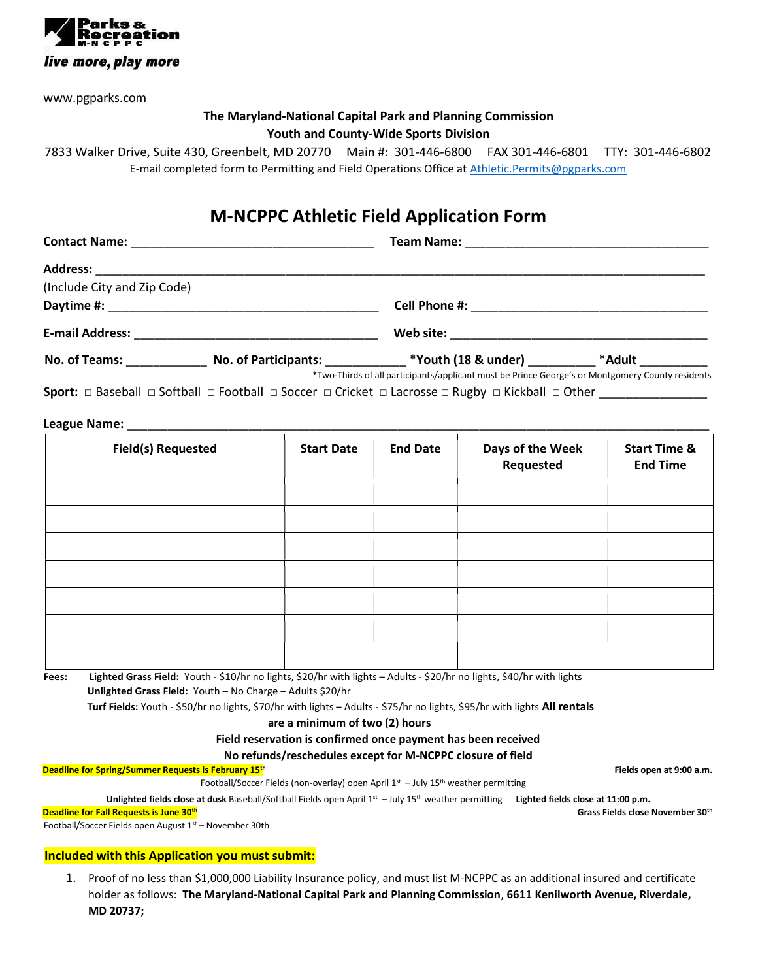

www.pgparks.com

### The Maryland-National Capital Park and Planning Commission Youth and County-Wide Sports Division

7833 Walker Drive, Suite 430, Greenbelt, MD 20770 Main #: 301-446-6800 FAX 301-446-6801 TTY: 301-446-6802 E-mail completed form to Permitting and Field Operations Office at Athletic.Permits@pgparks.com

## M-NCPPC Athletic Field Application Form

| <b>Contact Name:</b> |  |  |
|----------------------|--|--|
|                      |  |  |

Contact Name: \_\_\_\_\_\_\_\_\_\_\_\_\_\_\_\_\_\_\_\_\_\_\_\_\_\_\_\_\_\_\_\_\_\_\_\_ Team Name: \_\_\_\_\_\_\_\_\_\_\_\_\_\_\_\_\_\_\_\_\_\_\_\_\_\_\_\_\_\_\_\_\_\_\_\_

| <b>Address:</b>             |                             |                     |        |  |  |
|-----------------------------|-----------------------------|---------------------|--------|--|--|
| (Include City and Zip Code) |                             |                     |        |  |  |
| Daytime #:                  |                             | Cell Phone #:       |        |  |  |
| <b>E-mail Address:</b>      |                             | Web site:           |        |  |  |
| No. of Teams:               | <b>No. of Participants:</b> | *Youth (18 & under) | *Adult |  |  |

\*Two-Thirds of all participants/applicant must be Prince George's or Montgomery County residents

Sport: □ Baseball □ Softball □ Football □ Soccer □ Cricket □ Lacrosse □ Rugby □ Kickball □ Other \_\_\_\_\_\_\_\_\_\_\_\_\_

#### League Name: \_\_\_\_\_\_\_\_\_\_\_\_\_\_\_\_\_\_\_\_\_\_\_\_\_\_\_\_\_\_\_\_\_\_\_\_\_\_\_\_\_\_\_\_\_\_\_\_\_\_\_\_\_\_\_\_\_\_\_\_\_\_\_\_\_\_\_\_\_\_\_\_\_\_\_\_\_\_\_\_\_\_\_\_\_\_

| <b>Field(s) Requested</b> | <b>Start Date</b> | <b>End Date</b> | Days of the Week<br>Requested | <b>Start Time &amp;</b><br><b>End Time</b> |
|---------------------------|-------------------|-----------------|-------------------------------|--------------------------------------------|
|                           |                   |                 |                               |                                            |
|                           |                   |                 |                               |                                            |
|                           |                   |                 |                               |                                            |
|                           |                   |                 |                               |                                            |
|                           |                   |                 |                               |                                            |
|                           |                   |                 |                               |                                            |
|                           |                   |                 |                               |                                            |

Fees: Lighted Grass Field: Youth - \$10/hr no lights, \$20/hr with lights - Adults - \$20/hr no lights, \$40/hr with lights Unlighted Grass Field: Youth – No Charge – Adults \$20/hr

Turf Fields: Youth - \$50/hr no lights, \$70/hr with lights – Adults - \$75/hr no lights, \$95/hr with lights All rentals

are a minimum of two (2) hours

Field reservation is confirmed once payment has been received

No refunds/reschedules except for M-NCPPC closure of field

Deadline for Spring/Summer Requests is February 15<sup>th</sup> Fields open at 9:00 a.m.

Football/Soccer Fields (non-overlay) open April  $1^{st}$  – July  $15^{th}$  weather permitting

Unlighted fields close at dusk Baseball/Softball Fields open April 1st - July 15<sup>th</sup> weather permitting Lighted fields close at 11:00 p.m. Deadline for Fall Requests is June 30th

Football/Soccer Fields open August 1st – November 30th

#### Grass Fields close November 30th

#### Included with this Application you must submit:

1. Proof of no less than \$1,000,000 Liability Insurance policy, and must list M-NCPPC as an additional insured and certificate holder as follows: The Maryland-National Capital Park and Planning Commission, 6611 Kenilworth Avenue, Riverdale, MD 20737;